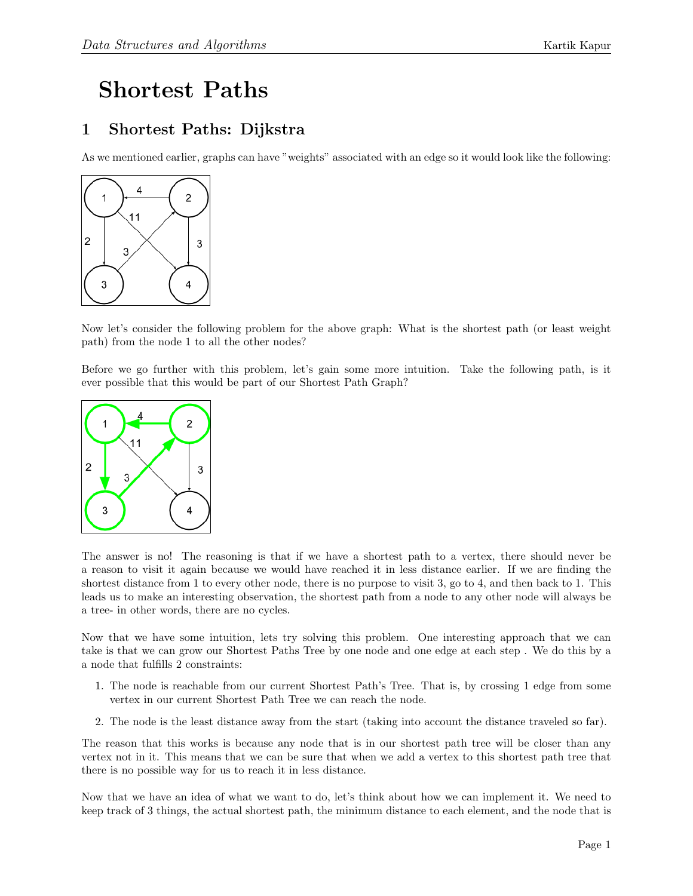## Shortest Paths

## 1 Shortest Paths: Dijkstra

As we mentioned earlier, graphs can have "weights" associated with an edge so it would look like the following:



Now let's consider the following problem for the above graph: What is the shortest path (or least weight path) from the node 1 to all the other nodes?

Before we go further with this problem, let's gain some more intuition. Take the following path, is it ever possible that this would be part of our Shortest Path Graph?



The answer is no! The reasoning is that if we have a shortest path to a vertex, there should never be a reason to visit it again because we would have reached it in less distance earlier. If we are finding the shortest distance from 1 to every other node, there is no purpose to visit 3, go to 4, and then back to 1. This leads us to make an interesting observation, the shortest path from a node to any other node will always be a tree- in other words, there are no cycles.

Now that we have some intuition, lets try solving this problem. One interesting approach that we can take is that we can grow our Shortest Paths Tree by one node and one edge at each step . We do this by a a node that fulfills 2 constraints:

- 1. The node is reachable from our current Shortest Path's Tree. That is, by crossing 1 edge from some vertex in our current Shortest Path Tree we can reach the node.
- 2. The node is the least distance away from the start (taking into account the distance traveled so far).

The reason that this works is because any node that is in our shortest path tree will be closer than any vertex not in it. This means that we can be sure that when we add a vertex to this shortest path tree that there is no possible way for us to reach it in less distance.

Now that we have an idea of what we want to do, let's think about how we can implement it. We need to keep track of 3 things, the actual shortest path, the minimum distance to each element, and the node that is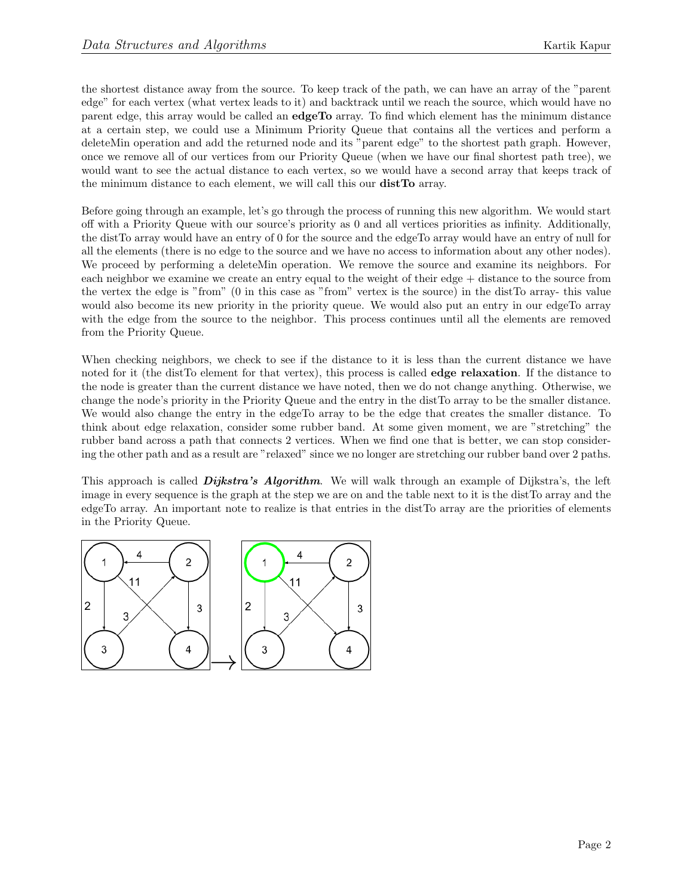the shortest distance away from the source. To keep track of the path, we can have an array of the "parent edge" for each vertex (what vertex leads to it) and backtrack until we reach the source, which would have no parent edge, this array would be called an edgeTo array. To find which element has the minimum distance at a certain step, we could use a Minimum Priority Queue that contains all the vertices and perform a deleteMin operation and add the returned node and its "parent edge" to the shortest path graph. However, once we remove all of our vertices from our Priority Queue (when we have our final shortest path tree), we would want to see the actual distance to each vertex, so we would have a second array that keeps track of the minimum distance to each element, we will call this our distTo array.

Before going through an example, let's go through the process of running this new algorithm. We would start off with a Priority Queue with our source's priority as 0 and all vertices priorities as infinity. Additionally, the distTo array would have an entry of 0 for the source and the edgeTo array would have an entry of null for all the elements (there is no edge to the source and we have no access to information about any other nodes). We proceed by performing a deleteMin operation. We remove the source and examine its neighbors. For each neighbor we examine we create an entry equal to the weight of their edge + distance to the source from the vertex the edge is "from" (0 in this case as "from" vertex is the source) in the distTo array- this value would also become its new priority in the priority queue. We would also put an entry in our edgeTo array with the edge from the source to the neighbor. This process continues until all the elements are removed from the Priority Queue.

When checking neighbors, we check to see if the distance to it is less than the current distance we have noted for it (the distTo element for that vertex), this process is called **edge relaxation**. If the distance to the node is greater than the current distance we have noted, then we do not change anything. Otherwise, we change the node's priority in the Priority Queue and the entry in the distTo array to be the smaller distance. We would also change the entry in the edgeTo array to be the edge that creates the smaller distance. To think about edge relaxation, consider some rubber band. At some given moment, we are "stretching" the rubber band across a path that connects 2 vertices. When we find one that is better, we can stop considering the other path and as a result are "relaxed" since we no longer are stretching our rubber band over 2 paths.

This approach is called **Dijkstra's Algorithm**. We will walk through an example of Dijkstra's, the left image in every sequence is the graph at the step we are on and the table next to it is the distTo array and the edgeTo array. An important note to realize is that entries in the distTo array are the priorities of elements in the Priority Queue.

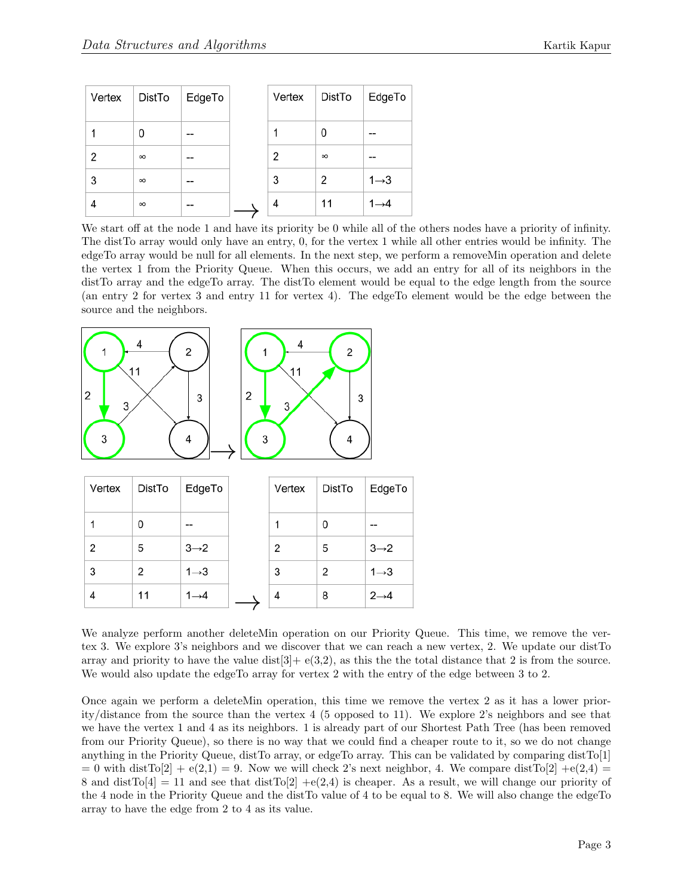| Vertex | DistTo   | EdgeTo | Vertex | DistTo   | EdgeTo            |
|--------|----------|--------|--------|----------|-------------------|
|        | 0        | --     |        | 0        | --                |
| 2      | $\infty$ | --     | 2      | $\infty$ | --                |
| 3      | $\infty$ | --     | 3      | 2        | $1 \rightarrow 3$ |
| 4      | $\infty$ | --     | 4      | 11       | $1\rightarrow 4$  |

We start off at the node 1 and have its priority be 0 while all of the others nodes have a priority of infinity. The distTo array would only have an entry, 0, for the vertex 1 while all other entries would be infinity. The edgeTo array would be null for all elements. In the next step, we perform a removeMin operation and delete the vertex 1 from the Priority Queue. When this occurs, we add an entry for all of its neighbors in the distTo array and the edgeTo array. The distTo element would be equal to the edge length from the source (an entry 2 for vertex 3 and entry 11 for vertex 4). The edgeTo element would be the edge between the source and the neighbors.



| Vertex         | DistTo | EdgeTo            | Vertex | DistTo         | EdgeTo            |
|----------------|--------|-------------------|--------|----------------|-------------------|
| 1              | 0      | $- -$             |        | 0              | --                |
| $\overline{2}$ | 5      | $3 \rightarrow 2$ | 2      | 5              | $3 \rightarrow 2$ |
| 3              | 2      | $1 \rightarrow 3$ | 3      | $\overline{2}$ | $1 \rightarrow 3$ |
| 4              | 11     | $1 \rightarrow 4$ | 4      | 8              | $2 \rightarrow 4$ |

We analyze perform another deleteMin operation on our Priority Queue. This time, we remove the vertex 3. We explore 3's neighbors and we discover that we can reach a new vertex, 2. We update our distTo array and priority to have the value dist  $[3] + e(3,2)$ , as this the total distance that 2 is from the source. We would also update the edgeTo array for vertex 2 with the entry of the edge between 3 to 2.

Once again we perform a deleteMin operation, this time we remove the vertex 2 as it has a lower priority/distance from the source than the vertex 4 (5 opposed to 11). We explore 2's neighbors and see that we have the vertex 1 and 4 as its neighbors. 1 is already part of our Shortest Path Tree (has been removed from our Priority Queue), so there is no way that we could find a cheaper route to it, so we do not change anything in the Priority Queue, distTo array, or edgeTo array. This can be validated by comparing distTo[1]  $= 0$  with distTo[2] + e(2,1) = 9. Now we will check 2's next neighbor, 4. We compare distTo[2] + e(2,4) = 8 and dist $T\text{o}[4] = 11$  and see that dist $T\text{o}[2] + e(2,4)$  is cheaper. As a result, we will change our priority of the 4 node in the Priority Queue and the distTo value of 4 to be equal to 8. We will also change the edgeTo array to have the edge from 2 to 4 as its value.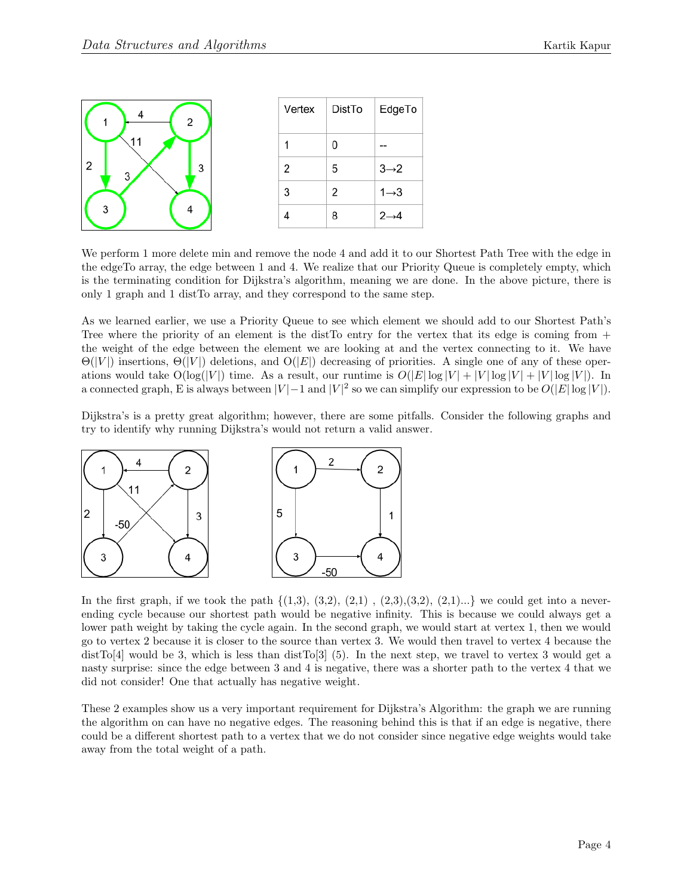| 2           | Vertex | DistTo        | EdgeTo            |
|-------------|--------|---------------|-------------------|
| 11          |        |               | --                |
| 2<br>3<br>3 | 2      | 5             | $3\rightarrow 2$  |
|             | 3      | $\mathcal{P}$ | $1 \rightarrow 3$ |
| 3           |        | 8             | $2 \rightarrow 4$ |

We perform 1 more delete min and remove the node 4 and add it to our Shortest Path Tree with the edge in the edgeTo array, the edge between 1 and 4. We realize that our Priority Queue is completely empty, which is the terminating condition for Dijkstra's algorithm, meaning we are done. In the above picture, there is only 1 graph and 1 distTo array, and they correspond to the same step.

As we learned earlier, we use a Priority Queue to see which element we should add to our Shortest Path's Tree where the priority of an element is the distTo entry for the vertex that its edge is coming from  $+$ the weight of the edge between the element we are looking at and the vertex connecting to it. We have  $\Theta(|V|)$  insertions,  $\Theta(|V|)$  deletions, and  $\Theta(|E|)$  decreasing of priorities. A single one of any of these operations would take  $O(\log(|V|)$  time. As a result, our runtime is  $O(|E|\log|V|+|V|\log|V|+|V|\log|V|)$ . In a connected graph, E is always between  $|V| - 1$  and  $|V|^2$  so we can simplify our expression to be  $O(|E| \log |V|)$ .

Dijkstra's is a pretty great algorithm; however, there are some pitfalls. Consider the following graphs and try to identify why running Dijkstra's would not return a valid answer.



In the first graph, if we took the path  $\{(1,3), (3,2), (2,1), (2,3), (3,2), (2,1) \ldots\}$  we could get into a neverending cycle because our shortest path would be negative infinity. This is because we could always get a lower path weight by taking the cycle again. In the second graph, we would start at vertex 1, then we would go to vertex 2 because it is closer to the source than vertex 3. We would then travel to vertex 4 because the distTo[4] would be 3, which is less than distTo[3] (5). In the next step, we travel to vertex 3 would get a nasty surprise: since the edge between 3 and 4 is negative, there was a shorter path to the vertex 4 that we did not consider! One that actually has negative weight.

These 2 examples show us a very important requirement for Dijkstra's Algorithm: the graph we are running the algorithm on can have no negative edges. The reasoning behind this is that if an edge is negative, there could be a different shortest path to a vertex that we do not consider since negative edge weights would take away from the total weight of a path.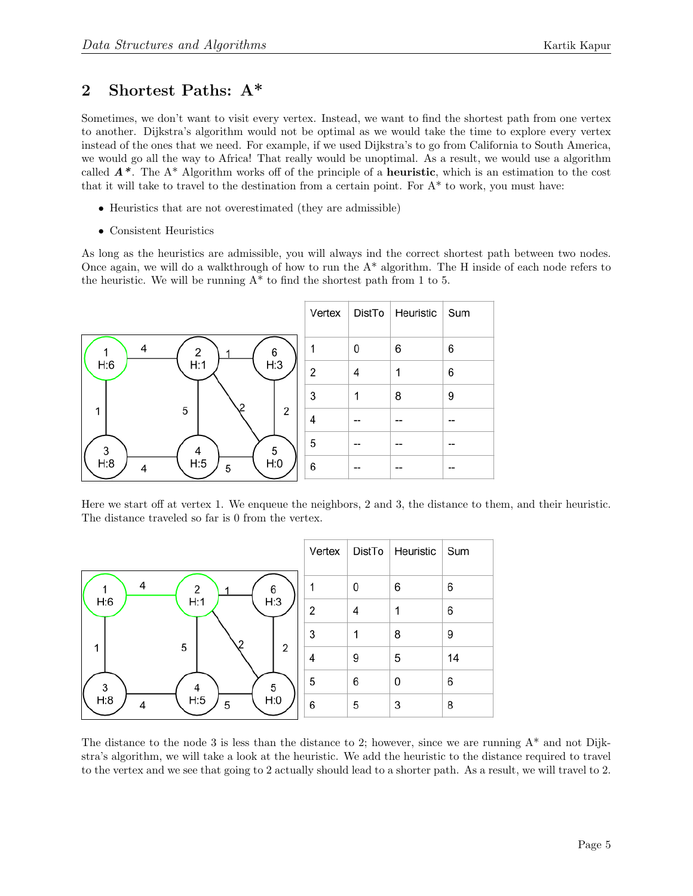## 2 Shortest Paths: A\*

Sometimes, we don't want to visit every vertex. Instead, we want to find the shortest path from one vertex to another. Dijkstra's algorithm would not be optimal as we would take the time to explore every vertex instead of the ones that we need. For example, if we used Dijkstra's to go from California to South America, we would go all the way to Africa! That really would be unoptimal. As a result, we would use a algorithm called  $A^*$ . The  $A^*$  Algorithm works off of the principle of a **heuristic**, which is an estimation to the cost that it will take to travel to the destination from a certain point. For A\* to work, you must have:

- Heuristics that are not overestimated (they are admissible)
- Consistent Heuristics

As long as the heuristics are admissible, you will always ind the correct shortest path between two nodes. Once again, we will do a walkthrough of how to run the  $A^*$  algorithm. The H inside of each node refers to the heuristic. We will be running  $A^*$  to find the shortest path from 1 to 5.



Here we start off at vertex 1. We enqueue the neighbors, 2 and 3, the distance to them, and their heuristic. The distance traveled so far is 0 from the vertex.

|                          | Vertex | DistTo | Heuristic | Sum |
|--------------------------|--------|--------|-----------|-----|
| 4<br>$\overline{2}$<br>6 |        | 0      | 6         | 6   |
| H:3<br>H:1<br>H:6        | 2      | 4      | 1         | 6   |
|                          | 3      | 1      | 8         | 9   |
| 5<br>2                   | 4      | 9      | 5         | 14  |
| 3<br>5<br>4              | 5      | 6      | 0         | 6   |
| H:5<br>H:0<br>H:8<br>5   | 6      | 5      | 3         | 8   |

The distance to the node 3 is less than the distance to 2; however, since we are running  $A^*$  and not Dijkstra's algorithm, we will take a look at the heuristic. We add the heuristic to the distance required to travel to the vertex and we see that going to 2 actually should lead to a shorter path. As a result, we will travel to 2.